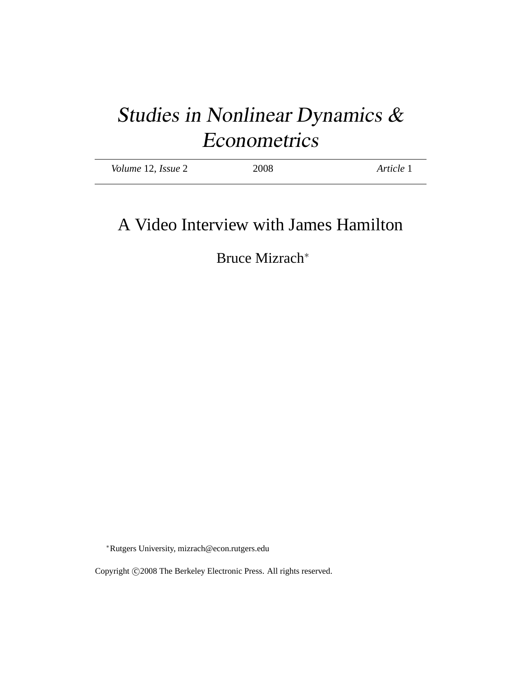# Studies in Nonlinear Dynamics & Econometrics

| Volume 12, Issue 2 | 2008 | Article 1 |
|--------------------|------|-----------|
|                    |      |           |

# A Video Interview with James Hamilton

Bruce Mizrach<sup>∗</sup>

<sup>∗</sup>Rutgers University, mizrach@econ.rutgers.edu

Copyright ©2008 The Berkeley Electronic Press. All rights reserved.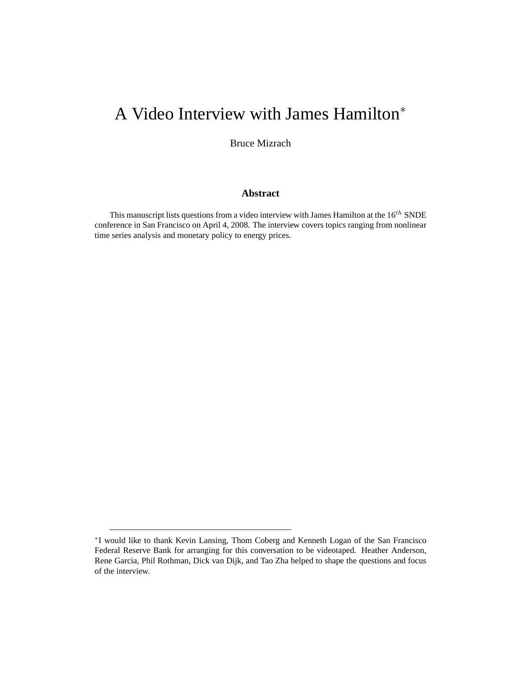## A Video Interview with James Hamilton<sup>∗</sup>

Bruce Mizrach

#### **Abstract**

This manuscript lists questions from a video interview with James Hamilton at the  $16^{th}$  SNDE conference in San Francisco on April 4, 2008. The interview covers topics ranging from nonlinear time series analysis and monetary policy to energy prices.

<sup>∗</sup> I would like to thank Kevin Lansing, Thom Coberg and Kenneth Logan of the San Francisco Federal Reserve Bank for arranging for this conversation to be videotaped. Heather Anderson, Rene Garcia, Phil Rothman, Dick van Dijk, and Tao Zha helped to shape the questions and focus of the interview.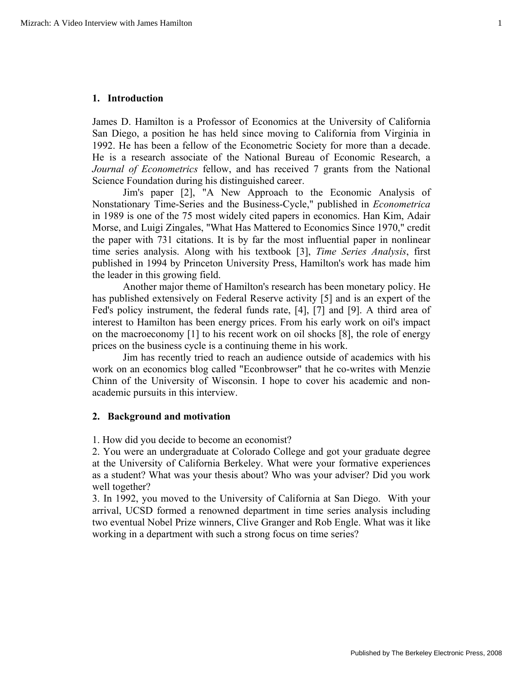#### **1. Introduction**

James D. Hamilton is a Professor of Economics at the University of California San Diego, a position he has held since moving to California from Virginia in 1992. He has been a fellow of the Econometric Society for more than a decade. He is a research associate of the National Bureau of Economic Research, a *Journal of Econometrics* fellow, and has received 7 grants from the National Science Foundation during his distinguished career.

Jim's paper [2], "A New Approach to the Economic Analysis of Nonstationary Time-Series and the Business-Cycle," published in *Econometrica* in 1989 is one of the 75 most widely cited papers in economics. Han Kim, Adair Morse, and Luigi Zingales, "What Has Mattered to Economics Since 1970," credit the paper with 731 citations. It is by far the most influential paper in nonlinear time series analysis. Along with his textbook [3], *Time Series Analysis*, first published in 1994 by Princeton University Press, Hamilton's work has made him the leader in this growing field.

Another major theme of Hamilton's research has been monetary policy. He has published extensively on Federal Reserve activity [5] and is an expert of the Fed's policy instrument, the federal funds rate, [4], [7] and [9]. A third area of interest to Hamilton has been energy prices. From his early work on oil's impact on the macroeconomy [1] to his recent work on oil shocks [8], the role of energy prices on the business cycle is a continuing theme in his work.

Jim has recently tried to reach an audience outside of academics with his work on an economics blog called "Econbrowser" that he co-writes with Menzie Chinn of the University of Wisconsin. I hope to cover his academic and nonacademic pursuits in this interview.

#### **2. Background and motivation**

1. How did you decide to become an economist?

2. You were an undergraduate at Colorado College and got your graduate degree at the University of California Berkeley. What were your formative experiences as a student? What was your thesis about? Who was your adviser? Did you work well together?

3. In 1992, you moved to the University of California at San Diego. With your arrival, UCSD formed a renowned department in time series analysis including two eventual Nobel Prize winners, Clive Granger and Rob Engle. What was it like working in a department with such a strong focus on time series?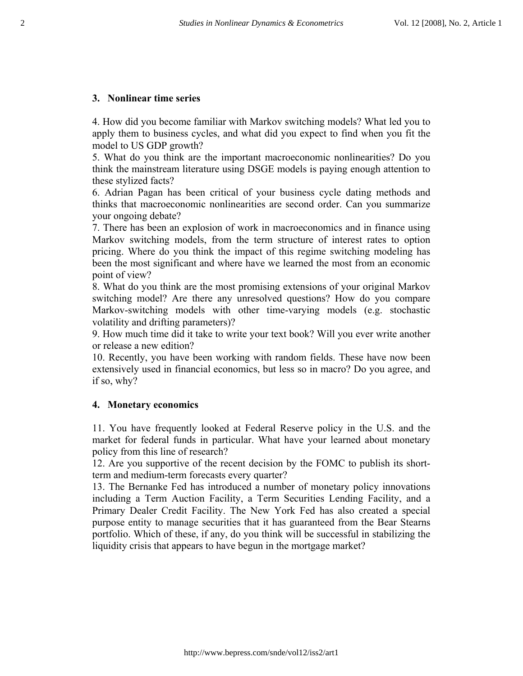### **3. Nonlinear time series**

4. How did you become familiar with Markov switching models? What led you to apply them to business cycles, and what did you expect to find when you fit the model to US GDP growth?

5. What do you think are the important macroeconomic nonlinearities? Do you think the mainstream literature using DSGE models is paying enough attention to these stylized facts?

6. Adrian Pagan has been critical of your business cycle dating methods and thinks that macroeconomic nonlinearities are second order. Can you summarize your ongoing debate?

7. There has been an explosion of work in macroeconomics and in finance using Markov switching models, from the term structure of interest rates to option pricing. Where do you think the impact of this regime switching modeling has been the most significant and where have we learned the most from an economic point of view?

8. What do you think are the most promising extensions of your original Markov switching model? Are there any unresolved questions? How do you compare Markov-switching models with other time-varying models (e.g. stochastic volatility and drifting parameters)?

9. How much time did it take to write your text book? Will you ever write another or release a new edition?

10. Recently, you have been working with random fields. These have now been extensively used in financial economics, but less so in macro? Do you agree, and if so, why?

### **4. Monetary economics**

11. You have frequently looked at Federal Reserve policy in the U.S. and the market for federal funds in particular. What have your learned about monetary policy from this line of research?

12. Are you supportive of the recent decision by the FOMC to publish its shortterm and medium-term forecasts every quarter?

13. The Bernanke Fed has introduced a number of monetary policy innovations including a Term Auction Facility, a Term Securities Lending Facility, and a Primary Dealer Credit Facility. The New York Fed has also created a special purpose entity to manage securities that it has guaranteed from the Bear Stearns portfolio. Which of these, if any, do you think will be successful in stabilizing the liquidity crisis that appears to have begun in the mortgage market?